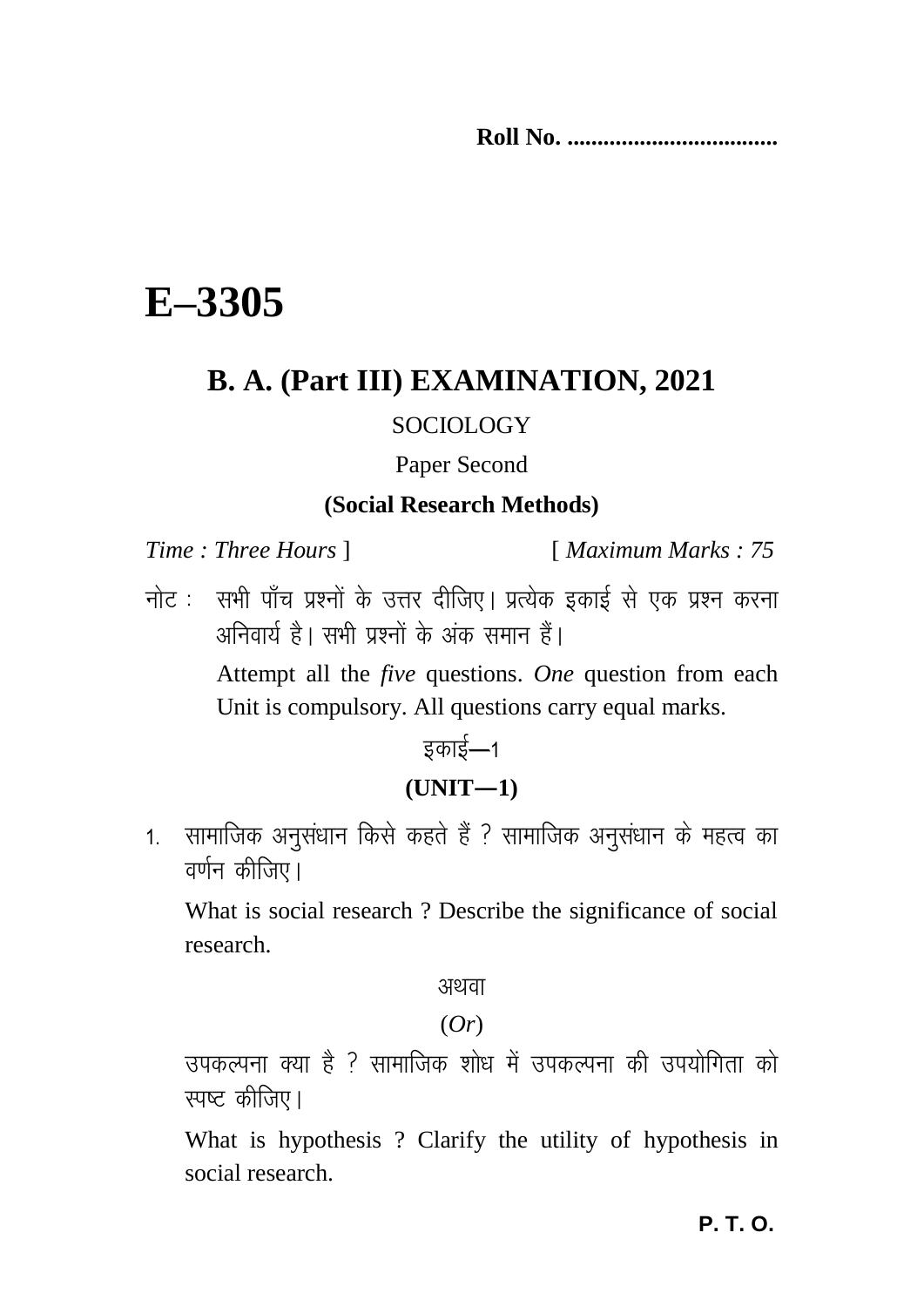**Roll No. ...................................** 

# **E–3305**

# **B. A. (Part III) EXAMINATION, 2021**

#### SOCIOLOGY

#### Paper Second

#### **(Social Research Methods)**

*Time : Three Hours* ] [ *Maximum Marks : 75*

नोट : सभी पाँच प्रश्नों के उत्तर दीजिए। प्रत्येक इकाई से एक प्रश्न करना अनिवार्य है। सभी पश्नों के अंक समान हैं।

> Attempt all the *five* questions. *One* question from each Unit is compulsory. All questions carry equal marks.

> > डकाई—1

#### **(UNIT—1)**

1. सामाजिक अनुसंधान किसे कहते हैं ? सामाजिक अनुसंधान के महत्व का वर्णन कीजिए।

What is social research ? Describe the significance of social research.

अथवा

(*Or*)

उपकल्पना क्या है <sup>?</sup> सामाजिक शोध में उपकल्पना की उपयोगिता को रपष्ट कीजिए।

What is hypothesis ? Clarify the utility of hypothesis in social research.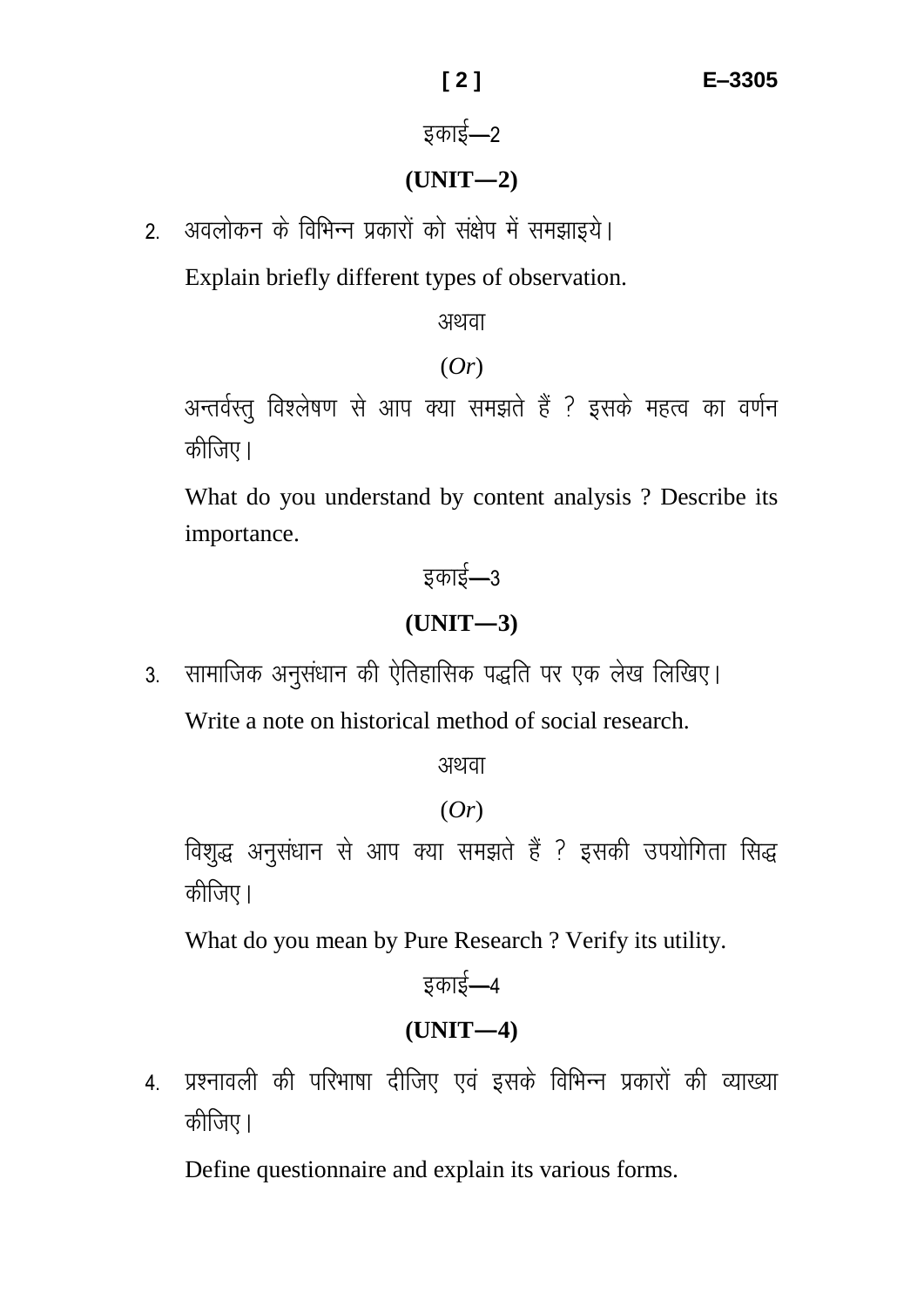# डकाई $-2$

## **(UNIT—2)**

2. अवलोकन के विभिन्न प्रकारों को संक्षेप में समझाइये।

Explain briefly different types of observation.

अथवा

#### (*Or*)

अन्तर्वस्तु विश्लेषण से आप क्या समझते हैं ? इसके महत्व का वर्णन कीजिए।

What do you understand by content analysis ? Describe its importance.

# डकाई $-3$ **(UNIT—3)**

3. सामाजिक अनुसंधान की ऐतिहासिक पद्धति पर एक लेख लिखिए। Write a note on historical method of social research.

अथवा

## (*Or*)

विशुद्ध अनुसंधान से आप क्या समझते हैं ? इसकी उपयोगिता सिद्ध कीजिए।

What do you mean by Pure Research ? Verify its utility.

```
इकाई—4
(UNIT—4)
```
4. प्रश्नावली की परिभाषा दीजिए एवं इसके विभिन्न प्रकारों की व्याख्या कीजिए।

Define questionnaire and explain its various forms.